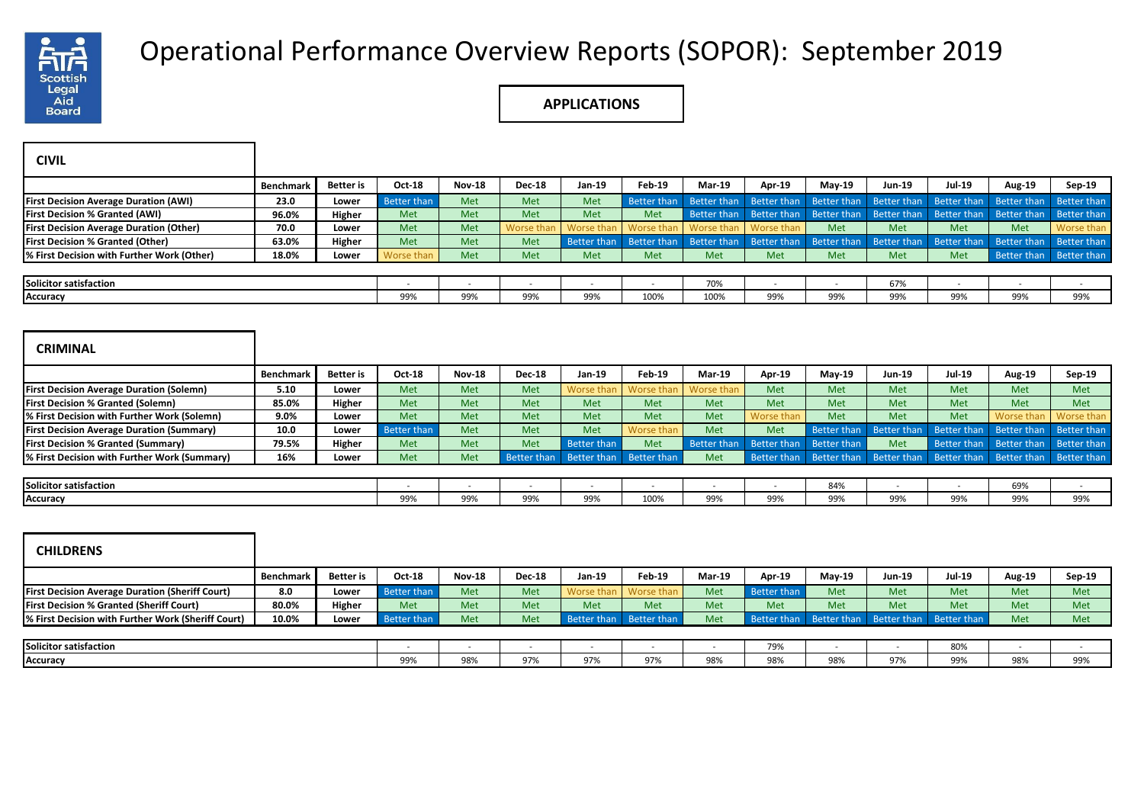

## Operational Performance Overview Reports (SOPOR): September 2019

**APPLICATIONS**

| <b>CIVIL</b>                                           |                  |                  |                    |               |                    |                    |                    |                    |                    |               |                    |                    |                    |                    |
|--------------------------------------------------------|------------------|------------------|--------------------|---------------|--------------------|--------------------|--------------------|--------------------|--------------------|---------------|--------------------|--------------------|--------------------|--------------------|
|                                                        | <b>Benchmark</b> | <b>Better</b> is | Oct-18             | <b>Nov-18</b> | <b>Dec-18</b>      | Jan-19             | <b>Feb-19</b>      | <b>Mar-19</b>      | Apr-19             | May-19        | Jun-19             | <b>Jul-19</b>      | Aug-19             | Sep-19             |
| <b>First Decision Average Duration (AWI)</b>           | 23.0             | Lower            | <b>Better than</b> | Met           | Met                | Met                | Better than        | <b>Better than</b> | <b>Better than</b> | Better than   | <b>Better than</b> | <b>Better than</b> | <b>Better than</b> | Better than        |
| <b>First Decision % Granted (AWI)</b>                  | 96.0%            | Higher           | Met                | Met           | Met                | Met                | Met                | <b>Better than</b> | <b>Better than</b> | Better than   | Better than        | <b>Better than</b> | <b>Better than</b> | <b>Better than</b> |
| <b>First Decision Average Duration (Other)</b>         | 70.0             | Lower            | Met                | Met           | Worse that         | Worse tha          | <b>Worse than</b>  | Worse thar         | Worse than         | Met           | Met                | Met                | Met                | Worse than         |
| <b>First Decision % Granted (Other)</b>                | 63.0%            | Higher           | Met                | Met           | Met                | Better than        | Better than        | <b>Better than</b> | <b>Better than</b> | Better than   | Better than        | <b>Better than</b> | Better than        | Better than        |
| % First Decision with Further Work (Other)             | 18.0%            | Lower            | <b>Worse thar</b>  | Met           | Met                | Met                | Met                | Met                | Met                | Met           | Met                | Met                | Better than        | Better than        |
|                                                        |                  |                  |                    |               |                    |                    |                    |                    |                    |               |                    |                    |                    |                    |
| <b>Solicitor satisfaction</b>                          |                  |                  |                    |               |                    |                    |                    | 70%                |                    |               | 67%                |                    |                    |                    |
| <b>Accuracy</b>                                        |                  |                  | 99%                | 99%           | 99%                | 99%                | 100%               | 100%               | 99%                | 99%           | 99%                | 99%                | 99%                | 99%                |
| <b>CRIMINAL</b>                                        |                  |                  |                    |               |                    |                    |                    |                    |                    |               |                    |                    |                    |                    |
|                                                        | <b>Benchmark</b> | <b>Better</b> is | Oct-18             | <b>Nov-18</b> | <b>Dec-18</b>      | Jan-19             | <b>Feb-19</b>      | <b>Mar-19</b>      | Apr-19             | $May-19$      | <b>Jun-19</b>      | <b>Jul-19</b>      | Aug-19             | $Sep-19$           |
| <b>First Decision Average Duration (Solemn)</b>        | 5.10             | Lower            | Met                | Met           | Met                | Worse tha          | Worse thar         | Worse thar         | Met                | Met           | Met                | Met                | Met                | Met                |
| <b>First Decision % Granted (Solemn)</b>               | 85.0%            | Higher           | Met                | Met           | Met                | Met                | Met                | Met                | Met                | Met           | Met                | Met                | Met                | Met                |
| % First Decision with Further Work (Solemn)            | 9.0%             | Lower            | Met                | Met           | Met                | Met                | Met                | Met                | Worse than         | Met           | Met                | Met                | Worse than         | Worse than         |
| <b>First Decision Average Duration (Summary)</b>       | 10.0             | Lower            | <b>Better than</b> | Met           | Met                | Met                | Worse than         | Met                | Met                | Better than   | <b>Better than</b> | <b>Better than</b> | <b>Better than</b> | <b>Better than</b> |
| <b>First Decision % Granted (Summary)</b>              | 79.5%            | Higher           | Met                | Met           | Met                | <b>Better than</b> | Met                | <b>Better than</b> | <b>Better than</b> | Better than   | Met                | Better than        | <b>Better than</b> | Better than        |
| % First Decision with Further Work (Summary)           | 16%              | Lower            | Met                | Met           | <b>Better than</b> | Better than        | <b>Better than</b> | Met                | Better than        | Better than   | Better than        | Better than        | Better than        | Better than        |
|                                                        |                  |                  |                    |               |                    |                    |                    |                    |                    |               |                    |                    |                    |                    |
| Solicitor satisfaction                                 |                  |                  |                    |               |                    |                    |                    |                    |                    | 84%           |                    |                    | 69%                |                    |
| <b>Accuracy</b>                                        |                  |                  | 99%                | 99%           | 99%                | 99%                | 100%               | 99%                | 99%                | 99%           | 99%                | 99%                | 99%                | 99%                |
| <b>CHILDRENS</b>                                       |                  |                  |                    |               |                    |                    |                    |                    |                    |               |                    |                    |                    |                    |
|                                                        | <b>Benchmark</b> | <b>Better</b> is | Oct-18             | <b>Nov-18</b> | <b>Dec-18</b>      | Jan-19             | <b>Feb-19</b>      | Mar-19             | Apr-19             | <b>May-19</b> | <b>Jun-19</b>      | <b>Jul-19</b>      | Aug-19             | Sep-19             |
| <b>First Decision Average Duration (Sheriff Court)</b> | 8.0              | Lower            | <b>Better than</b> | Met           | Met                | Worse that         | Worse thar         | Met                | <b>Better than</b> | Met           | Met                | Met                | Met                | Met                |
| <b>First Decision % Granted (Sheriff Court)</b>        | 80.0%            | Higher           | Met                | Met           | Met                | Met                | Met                | Met                | Met                | Met           | Met                | Met                | Met                | Met                |
| % First Decision with Further Work (Sheriff Court)     | 10.0%            | Lower            | Better than        | Met           | Met                | Better than        | Better than        | Met                | Better than        | Better than   | Better than        | Better than        | Met                | Met                |

| Solicitor satisfaction |     |            |            |                |     |                | $\neg$<br>. <i>. .</i> . |                    |     | 80% |                               |     |
|------------------------|-----|------------|------------|----------------|-----|----------------|--------------------------|--------------------|-----|-----|-------------------------------|-----|
| Accuracy               | 99% | 98%<br>- - | $\sim$ $-$ | $- - -$<br>97% | 97% | $- - -$<br>98% | $- - -$<br>98%           | 0.9%<br><b>JON</b> | 97% | 99% | 00 <sub>0</sub><br>98%<br>--- | 99% |